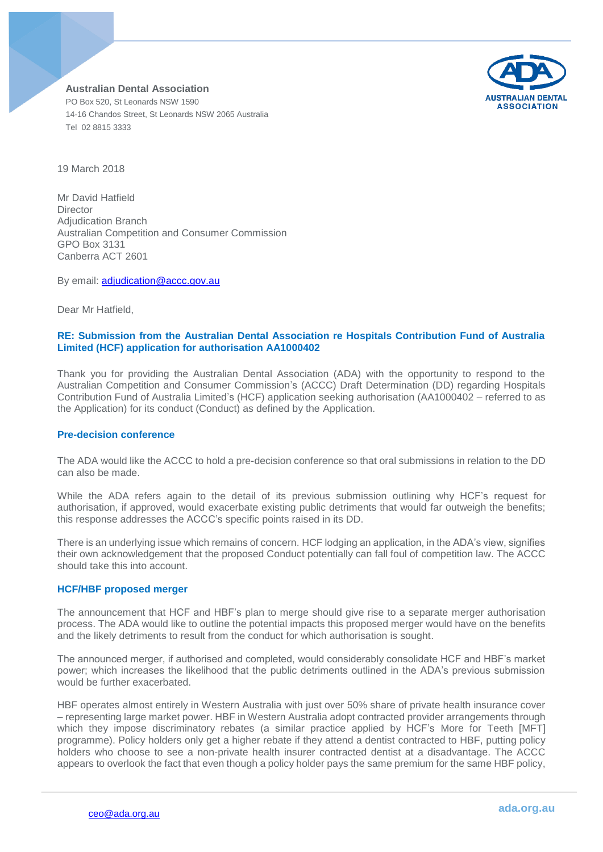

19 March 2018

Mr David Hatfield **Director** Adjudication Branch Australian Competition and Consumer Commission GPO Box 3131 Canberra ACT 2601

By email: [adjudication@accc.gov.au](mailto:adjudication@accc.gov.au)

Dear Mr Hatfield,

## **RE: Submission from the Australian Dental Association re Hospitals Contribution Fund of Australia Limited (HCF) application for authorisation AA1000402**

Thank you for providing the Australian Dental Association (ADA) with the opportunity to respond to the Australian Competition and Consumer Commission's (ACCC) Draft Determination (DD) regarding Hospitals Contribution Fund of Australia Limited's (HCF) application seeking authorisation (AA1000402 – referred to as the Application) for its conduct (Conduct) as defined by the Application.

### **Pre-decision conference**

The ADA would like the ACCC to hold a pre-decision conference so that oral submissions in relation to the DD can also be made.

While the ADA refers again to the detail of its previous submission outlining why HCF's request for authorisation, if approved, would exacerbate existing public detriments that would far outweigh the benefits; this response addresses the ACCC's specific points raised in its DD.

There is an underlying issue which remains of concern. HCF lodging an application, in the ADA's view, signifies their own acknowledgement that the proposed Conduct potentially can fall foul of competition law. The ACCC should take this into account.

### **HCF/HBF proposed merger**

The announcement that HCF and HBF's plan to merge should give rise to a separate merger authorisation process. The ADA would like to outline the potential impacts this proposed merger would have on the benefits and the likely detriments to result from the conduct for which authorisation is sought.

The announced merger, if authorised and completed, would considerably consolidate HCF and HBF's market power; which increases the likelihood that the public detriments outlined in the ADA's previous submission would be further exacerbated.

HBF operates almost entirely in Western Australia with just over 50% share of private health insurance cover – representing large market power. HBF in Western Australia adopt contracted provider arrangements through which they impose discriminatory rebates (a similar practice applied by HCF's More for Teeth [MFT] programme). Policy holders only get a higher rebate if they attend a dentist contracted to HBF, putting policy holders who choose to see a non-private health insurer contracted dentist at a disadvantage. The ACCC appears to overlook the fact that even though a policy holder pays the same premium for the same HBF policy,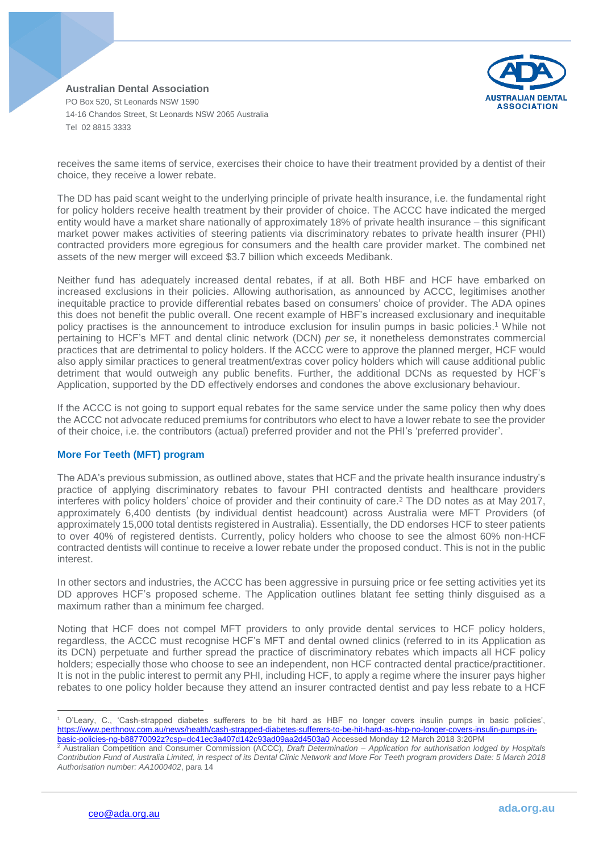**AUSTRALIAN DENTAL ASSOCIATION** 

**Australian Dental Association** PO Box 520, St Leonards NSW 1590 14-16 Chandos Street, St Leonards NSW 2065 Australia Tel 02 8815 3333

receives the same items of service, exercises their choice to have their treatment provided by a dentist of their choice, they receive a lower rebate.

The DD has paid scant weight to the underlying principle of private health insurance, i.e. the fundamental right for policy holders receive health treatment by their provider of choice. The ACCC have indicated the merged entity would have a market share nationally of approximately 18% of private health insurance – this significant market power makes activities of steering patients via discriminatory rebates to private health insurer (PHI) contracted providers more egregious for consumers and the health care provider market. The combined net assets of the new merger will exceed \$3.7 billion which exceeds Medibank.

Neither fund has adequately increased dental rebates, if at all. Both HBF and HCF have embarked on increased exclusions in their policies. Allowing authorisation, as announced by ACCC, legitimises another inequitable practice to provide differential rebates based on consumers' choice of provider. The ADA opines this does not benefit the public overall. One recent example of HBF's increased exclusionary and inequitable policy practises is the announcement to introduce exclusion for insulin pumps in basic policies. <sup>1</sup> While not pertaining to HCF's MFT and dental clinic network (DCN) *per se*, it nonetheless demonstrates commercial practices that are detrimental to policy holders. If the ACCC were to approve the planned merger, HCF would also apply similar practices to general treatment/extras cover policy holders which will cause additional public detriment that would outweigh any public benefits. Further, the additional DCNs as requested by HCF's Application, supported by the DD effectively endorses and condones the above exclusionary behaviour.

If the ACCC is not going to support equal rebates for the same service under the same policy then why does the ACCC not advocate reduced premiums for contributors who elect to have a lower rebate to see the provider of their choice, i.e. the contributors (actual) preferred provider and not the PHI's 'preferred provider'.

# **More For Teeth (MFT) program**

The ADA's previous submission, as outlined above, states that HCF and the private health insurance industry's practice of applying discriminatory rebates to favour PHI contracted dentists and healthcare providers interferes with policy holders' choice of provider and their continuity of care. <sup>2</sup> The DD notes as at May 2017, approximately 6,400 dentists (by individual dentist headcount) across Australia were MFT Providers (of approximately 15,000 total dentists registered in Australia). Essentially, the DD endorses HCF to steer patients to over 40% of registered dentists. Currently, policy holders who choose to see the almost 60% non-HCF contracted dentists will continue to receive a lower rebate under the proposed conduct. This is not in the public interest.

In other sectors and industries, the ACCC has been aggressive in pursuing price or fee setting activities yet its DD approves HCF's proposed scheme. The Application outlines blatant fee setting thinly disguised as a maximum rather than a minimum fee charged.

Noting that HCF does not compel MFT providers to only provide dental services to HCF policy holders, regardless, the ACCC must recognise HCF's MFT and dental owned clinics (referred to in its Application as its DCN) perpetuate and further spread the practice of discriminatory rebates which impacts all HCF policy holders; especially those who choose to see an independent, non HCF contracted dental practice/practitioner. It is not in the public interest to permit any PHI, including HCF, to apply a regime where the insurer pays higher rebates to one policy holder because they attend an insurer contracted dentist and pay less rebate to a HCF

 $\overline{a}$ 

<sup>1</sup> O'Leary, C., 'Cash-strapped diabetes sufferers to be hit hard as HBF no longer covers insulin pumps in basic policies', [https://www.perthnow.com.au/news/health/cash-strapped-diabetes-sufferers-to-be-hit-hard-as-hbp-no-longer-covers-insulin-pumps-in](https://www.perthnow.com.au/news/health/cash-strapped-diabetes-sufferers-to-be-hit-hard-as-hbp-no-longer-covers-insulin-pumps-in-basic-policies-ng-b88770092z?csp=dc41ec3a407d142c93ad09aa2d4503a0)[basic-policies-ng-b88770092z?csp=dc41ec3a407d142c93ad09aa2d4503a0](https://www.perthnow.com.au/news/health/cash-strapped-diabetes-sufferers-to-be-hit-hard-as-hbp-no-longer-covers-insulin-pumps-in-basic-policies-ng-b88770092z?csp=dc41ec3a407d142c93ad09aa2d4503a0) Accessed Monday 12 March 2018 3:20PM

<sup>2</sup> Australian Competition and Consumer Commission (ACCC), *Draft Determination – Application for authorisation lodged by Hospitals Contribution Fund of Australia Limited, in respect of its Dental Clinic Network and More For Teeth program providers Date: 5 March 2018 Authorisation number: AA1000402*, para 14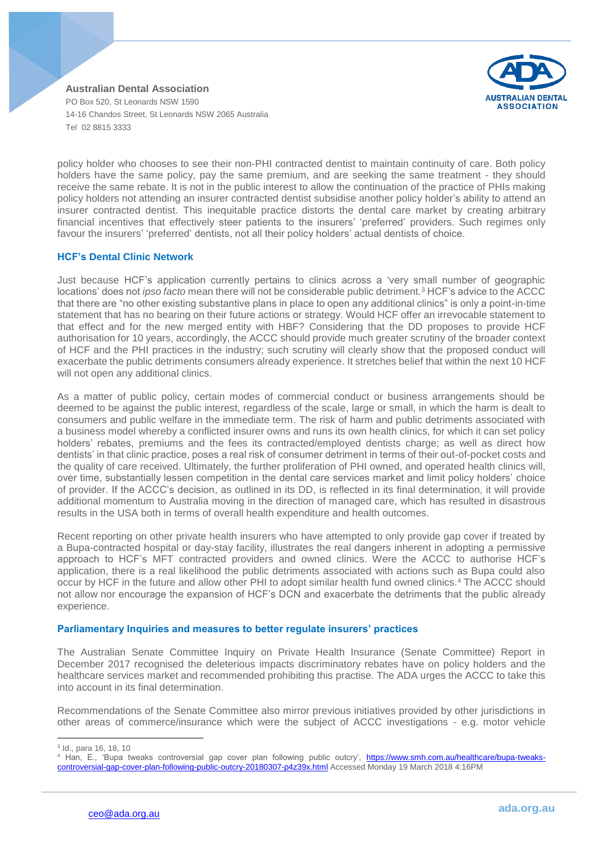

policy holder who chooses to see their non-PHI contracted dentist to maintain continuity of care. Both policy holders have the same policy, pay the same premium, and are seeking the same treatment - they should receive the same rebate. It is not in the public interest to allow the continuation of the practice of PHIs making policy holders not attending an insurer contracted dentist subsidise another policy holder's ability to attend an insurer contracted dentist. This inequitable practice distorts the dental care market by creating arbitrary financial incentives that effectively steer patients to the insurers' 'preferred' providers. Such regimes only favour the insurers' 'preferred' dentists, not all their policy holders' actual dentists of choice.

## **HCF's Dental Clinic Network**

Just because HCF's application currently pertains to clinics across a 'very small number of geographic locations' does not *ipso facto* mean there will not be considerable public detriment.<sup>3</sup> HCF's advice to the ACCC that there are "no other existing substantive plans in place to open any additional clinics" is only a point-in-time statement that has no bearing on their future actions or strategy. Would HCF offer an irrevocable statement to that effect and for the new merged entity with HBF? Considering that the DD proposes to provide HCF authorisation for 10 years, accordingly, the ACCC should provide much greater scrutiny of the broader context of HCF and the PHI practices in the industry; such scrutiny will clearly show that the proposed conduct will exacerbate the public detriments consumers already experience. It stretches belief that within the next 10 HCF will not open any additional clinics.

As a matter of public policy, certain modes of commercial conduct or business arrangements should be deemed to be against the public interest, regardless of the scale, large or small, in which the harm is dealt to consumers and public welfare in the immediate term. The risk of harm and public detriments associated with a business model whereby a conflicted insurer owns and runs its own health clinics, for which it can set policy holders' rebates, premiums and the fees its contracted/employed dentists charge; as well as direct how dentists' in that clinic practice, poses a real risk of consumer detriment in terms of their out-of-pocket costs and the quality of care received. Ultimately, the further proliferation of PHI owned, and operated health clinics will, over time, substantially lessen competition in the dental care services market and limit policy holders' choice of provider. If the ACCC's decision, as outlined in its DD, is reflected in its final determination, it will provide additional momentum to Australia moving in the direction of managed care, which has resulted in disastrous results in the USA both in terms of overall health expenditure and health outcomes.

Recent reporting on other private health insurers who have attempted to only provide gap cover if treated by a Bupa-contracted hospital or day-stay facility, illustrates the real dangers inherent in adopting a permissive approach to HCF's MFT contracted providers and owned clinics. Were the ACCC to authorise HCF's application, there is a real likelihood the public detriments associated with actions such as Bupa could also occur by HCF in the future and allow other PHI to adopt similar health fund owned clinics. <sup>4</sup> The ACCC should not allow nor encourage the expansion of HCF's DCN and exacerbate the detriments that the public already experience.

### **Parliamentary Inquiries and measures to better regulate insurers' practices**

The Australian Senate Committee Inquiry on Private Health Insurance (Senate Committee) Report in December 2017 recognised the deleterious impacts discriminatory rebates have on policy holders and the healthcare services market and recommended prohibiting this practise. The ADA urges the ACCC to take this into account in its final determination.

Recommendations of the Senate Committee also mirror previous initiatives provided by other jurisdictions in other areas of commerce/insurance which were the subject of ACCC investigations - e.g. motor vehicle

 $\overline{\phantom{a}}$ 3 Id., para 16, 18, 10

<sup>&</sup>lt;sup>4</sup> Han, E., 'Bupa tweaks controversial gap cover plan following public outcry', https://www.smh.com.au/healthcare/bupa-tweakscontroversial-gap-cover-plan-following-public-outcry-20180307-p4z39x.html Accessed Monday 19 March 2018 4:16PM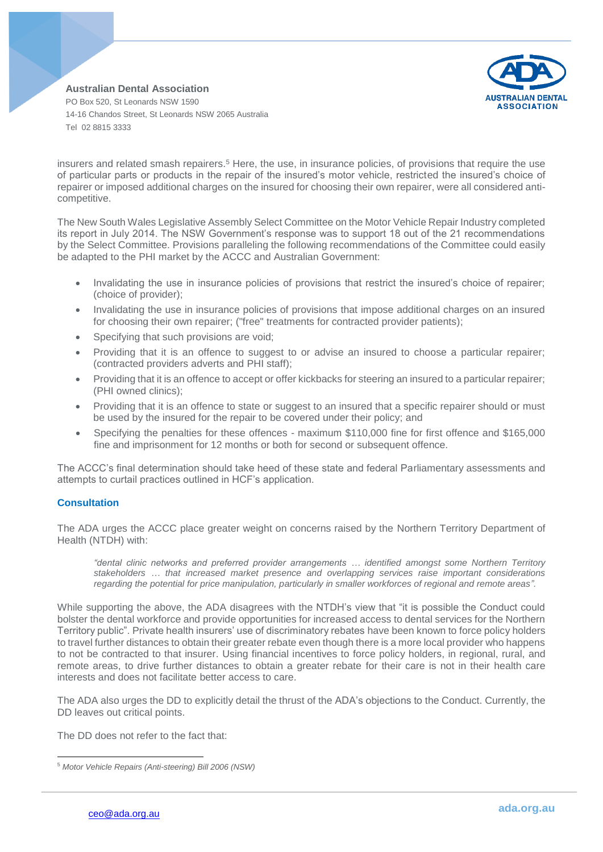

insurers and related smash repairers.<sup>5</sup> Here, the use, in insurance policies, of provisions that require the use of particular parts or products in the repair of the insured's motor vehicle, restricted the insured's choice of repairer or imposed additional charges on the insured for choosing their own repairer, were all considered anticompetitive.

The New South Wales Legislative Assembly Select Committee on the Motor Vehicle Repair Industry completed its report in July 2014. The NSW Government's response was to support 18 out of the 21 recommendations by the Select Committee. Provisions paralleling the following recommendations of the Committee could easily be adapted to the PHI market by the ACCC and Australian Government:

- Invalidating the use in insurance policies of provisions that restrict the insured's choice of repairer; (choice of provider);
- Invalidating the use in insurance policies of provisions that impose additional charges on an insured for choosing their own repairer; ("free" treatments for contracted provider patients);
- Specifying that such provisions are void;
- Providing that it is an offence to suggest to or advise an insured to choose a particular repairer; (contracted providers adverts and PHI staff);
- Providing that it is an offence to accept or offer kickbacks for steering an insured to a particular repairer; (PHI owned clinics);
- Providing that it is an offence to state or suggest to an insured that a specific repairer should or must be used by the insured for the repair to be covered under their policy; and
- Specifying the penalties for these offences maximum \$110,000 fine for first offence and \$165,000 fine and imprisonment for 12 months or both for second or subsequent offence.

The ACCC's final determination should take heed of these state and federal Parliamentary assessments and attempts to curtail practices outlined in HCF's application.

# **Consultation**

The ADA urges the ACCC place greater weight on concerns raised by the Northern Territory Department of Health (NTDH) with:

*"dental clinic networks and preferred provider arrangements … identified amongst some Northern Territory stakeholders … that increased market presence and overlapping services raise important considerations regarding the potential for price manipulation, particularly in smaller workforces of regional and remote areas".*

While supporting the above, the ADA disagrees with the NTDH's view that "it is possible the Conduct could bolster the dental workforce and provide opportunities for increased access to dental services for the Northern Territory public". Private health insurers' use of discriminatory rebates have been known to force policy holders to travel further distances to obtain their greater rebate even though there is a more local provider who happens to not be contracted to that insurer. Using financial incentives to force policy holders, in regional, rural, and remote areas, to drive further distances to obtain a greater rebate for their care is not in their health care interests and does not facilitate better access to care.

The ADA also urges the DD to explicitly detail the thrust of the ADA's objections to the Conduct. Currently, the DD leaves out critical points.

The DD does not refer to the fact that:

 $\overline{\phantom{a}}$ <sup>5</sup> *Motor Vehicle Repairs (Anti-steering) Bill 2006 (NSW)*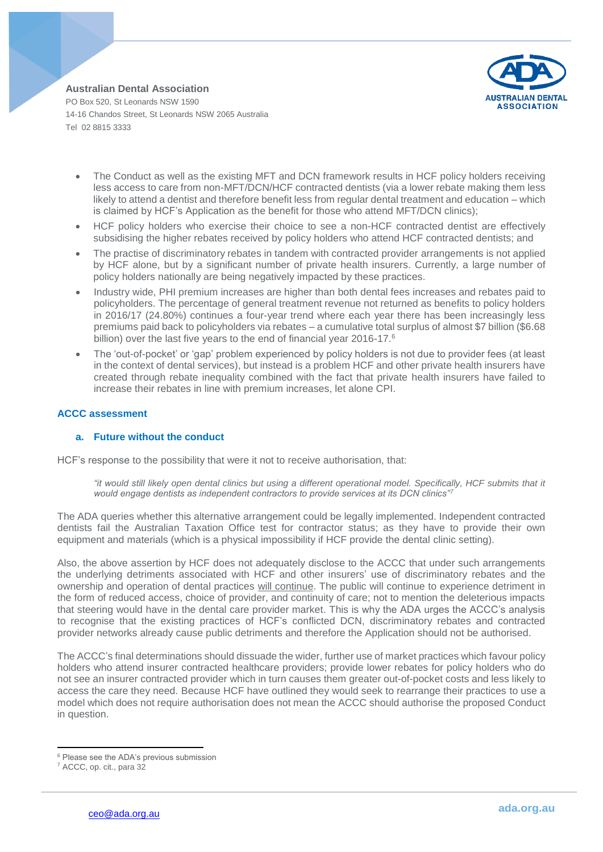

- The Conduct as well as the existing MFT and DCN framework results in HCF policy holders receiving less access to care from non-MFT/DCN/HCF contracted dentists (via a lower rebate making them less likely to attend a dentist and therefore benefit less from regular dental treatment and education – which is claimed by HCF's Application as the benefit for those who attend MFT/DCN clinics);
- HCF policy holders who exercise their choice to see a non-HCF contracted dentist are effectively subsidising the higher rebates received by policy holders who attend HCF contracted dentists; and
- The practise of discriminatory rebates in tandem with contracted provider arrangements is not applied by HCF alone, but by a significant number of private health insurers. Currently, a large number of policy holders nationally are being negatively impacted by these practices.
- Industry wide, PHI premium increases are higher than both dental fees increases and rebates paid to policyholders. The percentage of general treatment revenue not returned as benefits to policy holders in 2016/17 (24.80%) continues a four-year trend where each year there has been increasingly less premiums paid back to policyholders via rebates – a cumulative total surplus of almost \$7 billion (\$6.68 billion) over the last five years to the end of financial year 2016-17.<sup>6</sup>
- The 'out-of-pocket' or 'gap' problem experienced by policy holders is not due to provider fees (at least in the context of dental services), but instead is a problem HCF and other private health insurers have created through rebate inequality combined with the fact that private health insurers have failed to increase their rebates in line with premium increases, let alone CPI.

## **ACCC assessment**

### **a. Future without the conduct**

HCF's response to the possibility that were it not to receive authorisation, that:

*"it would still likely open dental clinics but using a different operational model. Specifically, HCF submits that it would engage dentists as independent contractors to provide services at its DCN clinics"<sup>7</sup>*

The ADA queries whether this alternative arrangement could be legally implemented. Independent contracted dentists fail the Australian Taxation Office test for contractor status; as they have to provide their own equipment and materials (which is a physical impossibility if HCF provide the dental clinic setting).

Also, the above assertion by HCF does not adequately disclose to the ACCC that under such arrangements the underlying detriments associated with HCF and other insurers' use of discriminatory rebates and the ownership and operation of dental practices will continue. The public will continue to experience detriment in the form of reduced access, choice of provider, and continuity of care; not to mention the deleterious impacts that steering would have in the dental care provider market. This is why the ADA urges the ACCC's analysis to recognise that the existing practices of HCF's conflicted DCN, discriminatory rebates and contracted provider networks already cause public detriments and therefore the Application should not be authorised.

The ACCC's final determinations should dissuade the wider, further use of market practices which favour policy holders who attend insurer contracted healthcare providers; provide lower rebates for policy holders who do not see an insurer contracted provider which in turn causes them greater out-of-pocket costs and less likely to access the care they need. Because HCF have outlined they would seek to rearrange their practices to use a model which does not require authorisation does not mean the ACCC should authorise the proposed Conduct in question.

 $\overline{a}$ <sup>6</sup> Please see the ADA's previous submission

<sup>7</sup> ACCC, op. cit., para 32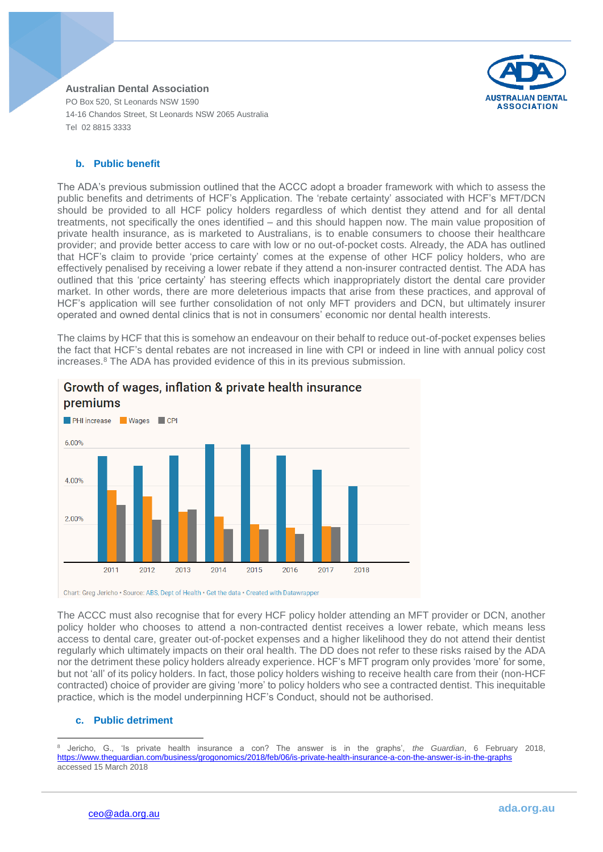

## **b. Public benefit**

The ADA's previous submission outlined that the ACCC adopt a broader framework with which to assess the public benefits and detriments of HCF's Application. The 'rebate certainty' associated with HCF's MFT/DCN should be provided to all HCF policy holders regardless of which dentist they attend and for all dental treatments, not specifically the ones identified – and this should happen now. The main value proposition of private health insurance, as is marketed to Australians, is to enable consumers to choose their healthcare provider; and provide better access to care with low or no out-of-pocket costs. Already, the ADA has outlined that HCF's claim to provide 'price certainty' comes at the expense of other HCF policy holders, who are effectively penalised by receiving a lower rebate if they attend a non-insurer contracted dentist. The ADA has outlined that this 'price certainty' has steering effects which inappropriately distort the dental care provider market. In other words, there are more deleterious impacts that arise from these practices, and approval of HCF's application will see further consolidation of not only MFT providers and DCN, but ultimately insurer operated and owned dental clinics that is not in consumers' economic nor dental health interests.

The claims by HCF that this is somehow an endeavour on their behalf to reduce out-of-pocket expenses belies the fact that HCF's dental rebates are not increased in line with CPI or indeed in line with annual policy cost increases.<sup>8</sup> The ADA has provided evidence of this in its previous submission.



# Growth of wages, inflation & private health insurance

Chart: Greg Jericho · Source: ABS, Dept of Health · Get the data · Created with Datawrapper

The ACCC must also recognise that for every HCF policy holder attending an MFT provider or DCN, another policy holder who chooses to attend a non-contracted dentist receives a lower rebate, which means less access to dental care, greater out-of-pocket expenses and a higher likelihood they do not attend their dentist regularly which ultimately impacts on their oral health. The DD does not refer to these risks raised by the ADA nor the detriment these policy holders already experience. HCF's MFT program only provides 'more' for some, but not 'all' of its policy holders. In fact, those policy holders wishing to receive health care from their (non-HCF contracted) choice of provider are giving 'more' to policy holders who see a contracted dentist. This inequitable practice, which is the model underpinning HCF's Conduct, should not be authorised.

### **c. Public detriment**

 $\overline{\phantom{a}}$ <sup>8</sup> Jericho, G., 'Is private health insurance a con? The answer is in the graphs', *the Guardian*, 6 February 2018, <https://www.theguardian.com/business/grogonomics/2018/feb/06/is-private-health-insurance-a-con-the-answer-is-in-the-graphs> accessed 15 March 2018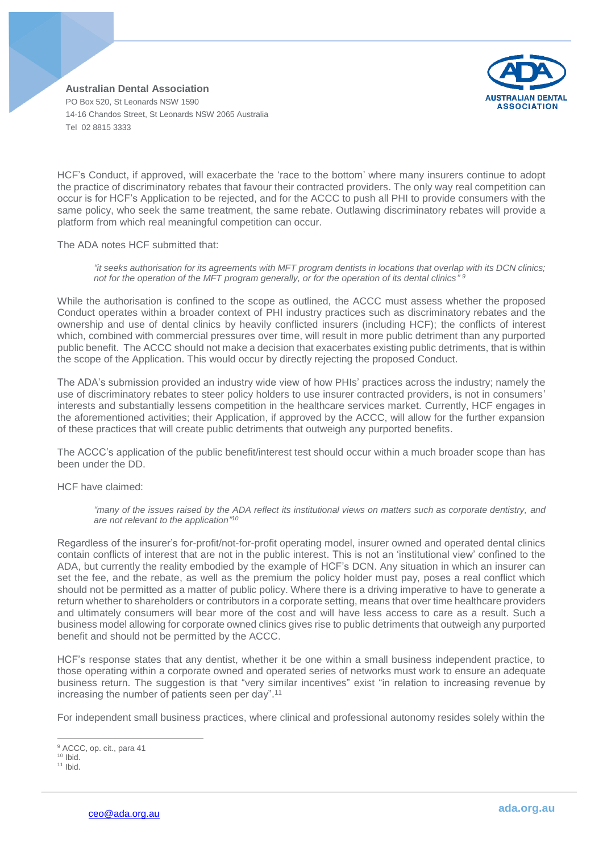

HCF's Conduct, if approved, will exacerbate the 'race to the bottom' where many insurers continue to adopt the practice of discriminatory rebates that favour their contracted providers. The only way real competition can occur is for HCF's Application to be rejected, and for the ACCC to push all PHI to provide consumers with the same policy, who seek the same treatment, the same rebate. Outlawing discriminatory rebates will provide a platform from which real meaningful competition can occur.

The ADA notes HCF submitted that:

*"it seeks authorisation for its agreements with MFT program dentists in locations that overlap with its DCN clinics; not for the operation of the MFT program generally, or for the operation of its dental clinics" 9*

While the authorisation is confined to the scope as outlined, the ACCC must assess whether the proposed Conduct operates within a broader context of PHI industry practices such as discriminatory rebates and the ownership and use of dental clinics by heavily conflicted insurers (including HCF); the conflicts of interest which, combined with commercial pressures over time, will result in more public detriment than any purported public benefit. The ACCC should not make a decision that exacerbates existing public detriments, that is within the scope of the Application. This would occur by directly rejecting the proposed Conduct.

The ADA's submission provided an industry wide view of how PHIs' practices across the industry; namely the use of discriminatory rebates to steer policy holders to use insurer contracted providers, is not in consumers' interests and substantially lessens competition in the healthcare services market. Currently, HCF engages in the aforementioned activities; their Application, if approved by the ACCC, will allow for the further expansion of these practices that will create public detriments that outweigh any purported benefits.

The ACCC's application of the public benefit/interest test should occur within a much broader scope than has been under the DD.

HCF have claimed:

*"many of the issues raised by the ADA reflect its institutional views on matters such as corporate dentistry, and are not relevant to the application" 10*

Regardless of the insurer's for-profit/not-for-profit operating model, insurer owned and operated dental clinics contain conflicts of interest that are not in the public interest. This is not an 'institutional view' confined to the ADA, but currently the reality embodied by the example of HCF's DCN. Any situation in which an insurer can set the fee, and the rebate, as well as the premium the policy holder must pay, poses a real conflict which should not be permitted as a matter of public policy. Where there is a driving imperative to have to generate a return whether to shareholders or contributors in a corporate setting, means that over time healthcare providers and ultimately consumers will bear more of the cost and will have less access to care as a result. Such a business model allowing for corporate owned clinics gives rise to public detriments that outweigh any purported benefit and should not be permitted by the ACCC.

HCF's response states that any dentist, whether it be one within a small business independent practice, to those operating within a corporate owned and operated series of networks must work to ensure an adequate business return. The suggestion is that "very similar incentives" exist "in relation to increasing revenue by increasing the number of patients seen per day". 11

For independent small business practices, where clinical and professional autonomy resides solely within the

 $\overline{\phantom{a}}$ <sup>9</sup> ACCC, op. cit., para 41

 $10$  Ibid.

 $11$  Ibid.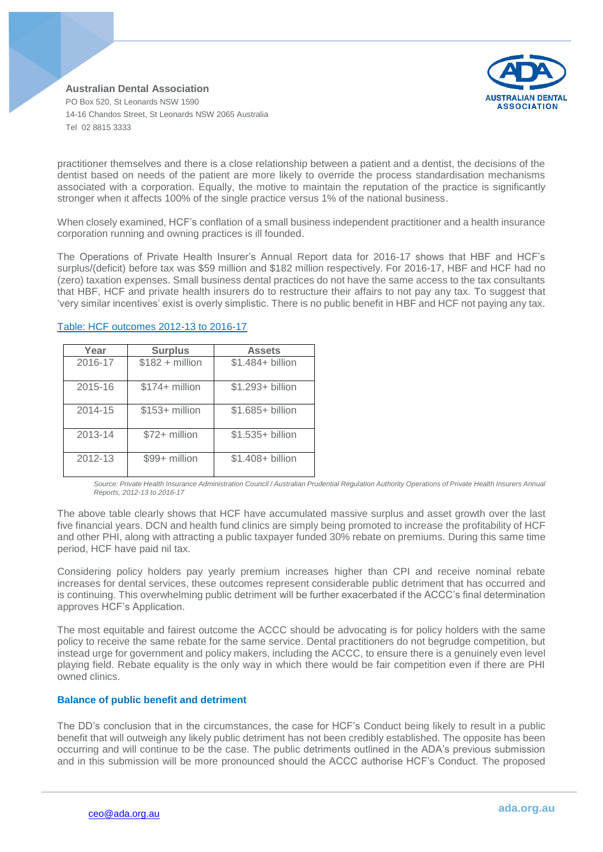

practitioner themselves and there is a close relationship between a patient and a dentist, the decisions of the dentist based on needs of the patient are more likely to override the process standardisation mechanisms associated with a corporation. Equally, the motive to maintain the reputation of the practice is significantly stronger when it affects 100% of the single practice versus 1% of the national business.

When closely examined, HCF's conflation of a small business independent practitioner and a health insurance corporation running and owning practices is ill founded.

The Operations of Private Health Insurer's Annual Report data for 2016-17 shows that HBF and HCF's surplus/(deficit) before tax was \$59 million and \$182 million respectively. For 2016-17, HBF and HCF had no (zero) taxation expenses. Small business dental practices do not have the same access to the tax consultants that HBF, HCF and private health insurers do to restructure their affairs to not pay any tax. To suggest that 'very similar incentives' exist is overly simplistic. There is no public benefit in HBF and HCF not paying any tax.

| Year    | <b>Surplus</b>   | <b>Assets</b>     |
|---------|------------------|-------------------|
| 2016-17 | $$182 + million$ | $$1.484+$ billion |
| 2015-16 | \$174+ million   | \$1.293+ billion  |
| 2014-15 | $$153+$ million  | \$1.685+ billion  |
| 2013-14 | $$72+$ million   | \$1.535+ billion  |
| 2012-13 | \$99+ million    | \$1.408+ billion  |

# Table: HCF outcomes 2012-13 to 2016-17

Source: Private Health Insurance Administration Council / Australian Prudential Regulation Authority Operations of Private Health Insurers Annual *Reports, 2012-13 to 2016-17*

The above table clearly shows that HCF have accumulated massive surplus and asset growth over the last five financial years. DCN and health fund clinics are simply being promoted to increase the profitability of HCF and other PHI, along with attracting a public taxpayer funded 30% rebate on premiums. During this same time period, HCF have paid nil tax.

Considering policy holders pay yearly premium increases higher than CPI and receive nominal rebate increases for dental services, these outcomes represent considerable public detriment that has occurred and is continuing. This overwhelming public detriment will be further exacerbated if the ACCC's final determination approves HCF's Application.

The most equitable and fairest outcome the ACCC should be advocating is for policy holders with the same policy to receive the same rebate for the same service. Dental practitioners do not begrudge competition, but instead urge for government and policy makers, including the ACCC, to ensure there is a genuinely even level playing field. Rebate equality is the only way in which there would be fair competition even if there are PHI owned clinics.

# **Balance of public benefit and detriment**

The DD's conclusion that in the circumstances, the case for HCF's Conduct being likely to result in a public benefit that will outweigh any likely public detriment has not been credibly established. The opposite has been occurring and will continue to be the case. The public detriments outlined in the ADA's previous submission and in this submission will be more pronounced should the ACCC authorise HCF's Conduct. The proposed